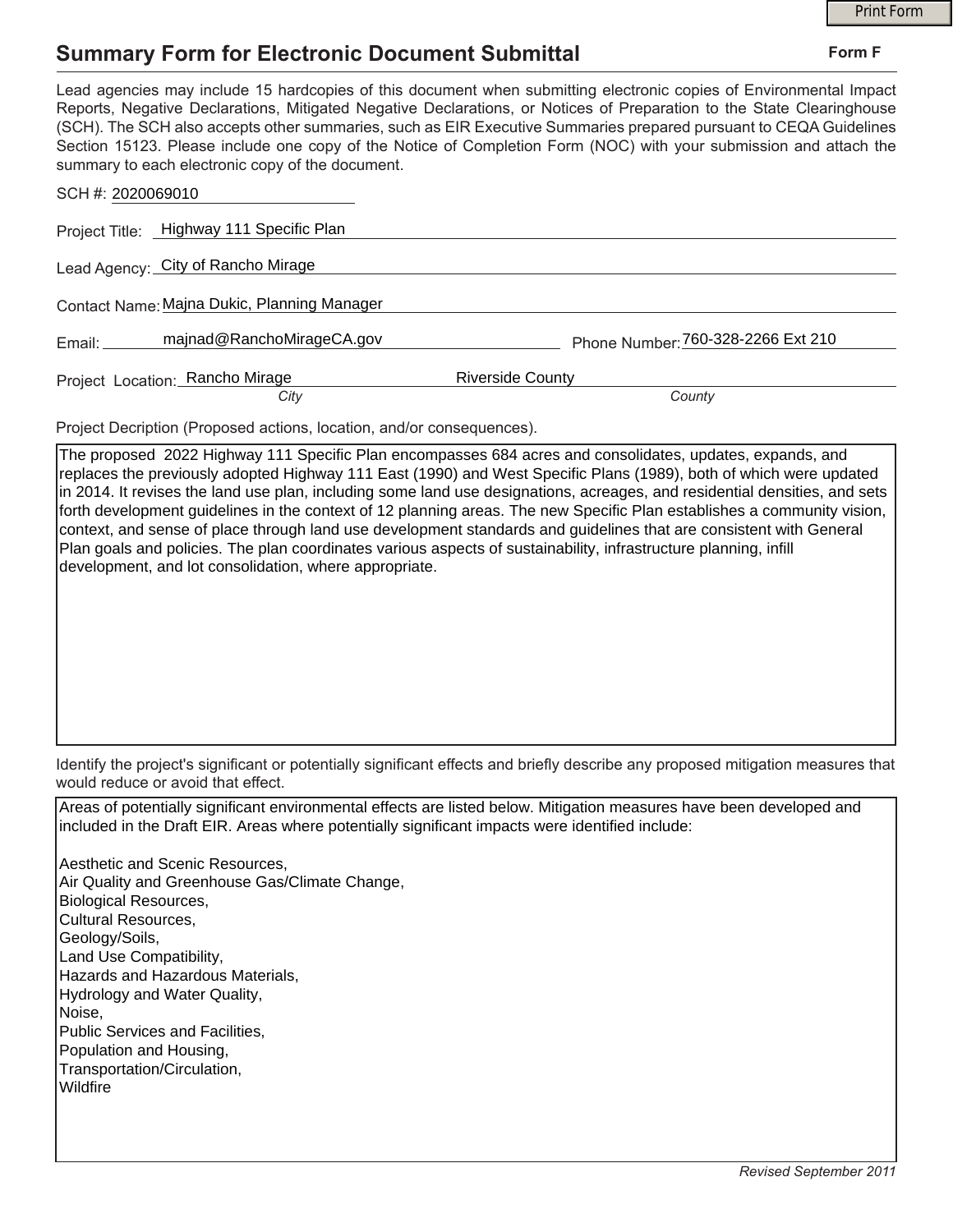## **Summary Form for Electronic Document Submittal**

|                                                                                                                                                                                                                                                                                                                                                                                                                                                                                                                                           | <b>Print Form</b>                  |
|-------------------------------------------------------------------------------------------------------------------------------------------------------------------------------------------------------------------------------------------------------------------------------------------------------------------------------------------------------------------------------------------------------------------------------------------------------------------------------------------------------------------------------------------|------------------------------------|
| <b>Summary Form for Electronic Document Submittal</b>                                                                                                                                                                                                                                                                                                                                                                                                                                                                                     | Form F                             |
| Lead agencies may include 15 hardcopies of this document when submitting electronic copies of Environmental Impact<br>Reports, Negative Declarations, Mitigated Negative Declarations, or Notices of Preparation to the State Clearinghouse<br>(SCH). The SCH also accepts other summaries, such as EIR Executive Summaries prepared pursuant to CEQA Guidelines<br>Section 15123. Please include one copy of the Notice of Completion Form (NOC) with your submission and attach the<br>summary to each electronic copy of the document. |                                    |
| SCH #: 2020069010                                                                                                                                                                                                                                                                                                                                                                                                                                                                                                                         |                                    |
| Project Title: Highway 111 Specific Plan                                                                                                                                                                                                                                                                                                                                                                                                                                                                                                  |                                    |
| Lead Agency: City of Rancho Mirage                                                                                                                                                                                                                                                                                                                                                                                                                                                                                                        |                                    |
| Contact Name: Majna Dukic, Planning Manager                                                                                                                                                                                                                                                                                                                                                                                                                                                                                               |                                    |
| majnad@RanchoMirageCA.gov<br>Email:                                                                                                                                                                                                                                                                                                                                                                                                                                                                                                       | Phone Number: 760-328-2266 Ext 210 |
| Project Location: Rancho Mirage                                                                                                                                                                                                                                                                                                                                                                                                                                                                                                           | <b>Riverside County</b>            |
| City                                                                                                                                                                                                                                                                                                                                                                                                                                                                                                                                      | County                             |

The proposed 2022 Highway 111 Specific Plan encompasses 684 acres and consolidates, updates, expands, and replaces the previously adopted Highway 111 East (1990) and West Specific Plans (1989), both of which were updated in 2014. It revises the land use plan, including some land use designations, acreages, and residential densities, and sets forth development guidelines in the context of 12 planning areas. The new Specific Plan establishes a community vision, context, and sense of place through land use development standards and guidelines that are consistent with General Plan goals and policies. The plan coordinates various aspects of sustainability, infrastructure planning, infill development, and lot consolidation, where appropriate.

Identify the project's significant or potentially significant effects and briefly describe any proposed mitigation measures that would reduce or avoid that effect.

Areas of potentially significant environmental effects are listed below. Mitigation measures have been developed and included in the Draft EIR. Areas where potentially significant impacts were identified include:

Aesthetic and Scenic Resources, Air Quality and Greenhouse Gas/Climate Change, Biological Resources, Cultural Resources, Geology/Soils, Land Use Compatibility, Hazards and Hazardous Materials, Hydrology and Water Quality, Noise, Public Services and Facilities, Population and Housing, Transportation/Circulation, Wildfire